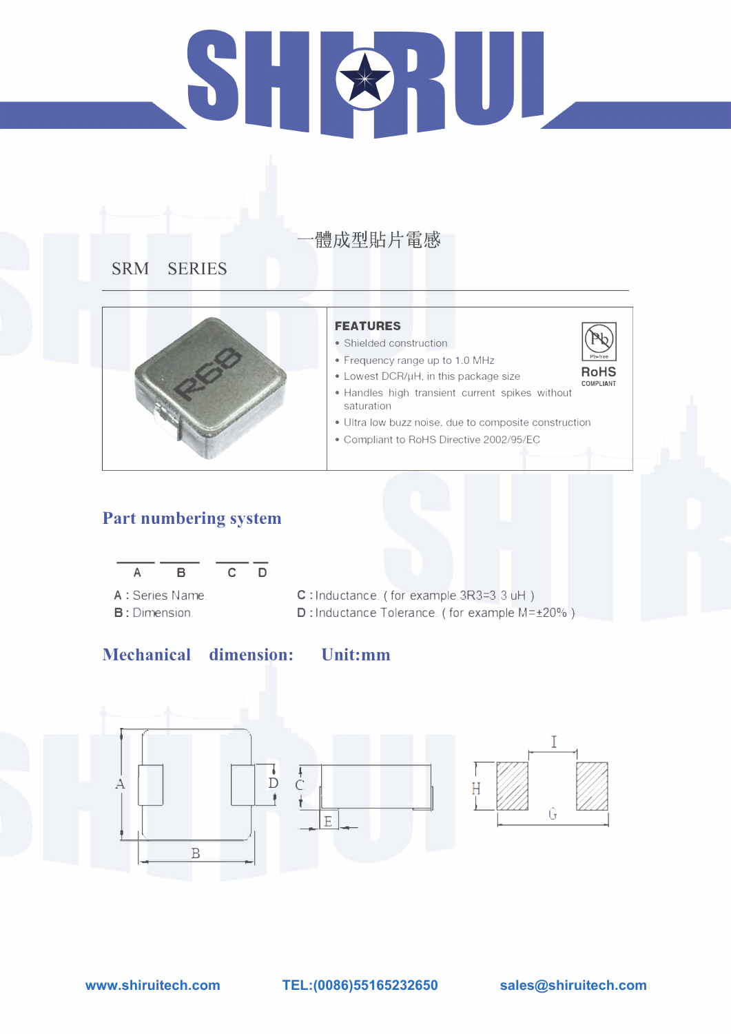# HUL  $\sum_{i=1}^{n}$

# 體成型貼片電感

## **SRM SERIES**



## **Part numbering system**



## **Mechanical dimension:**

## **FEATURES**

- Shielded construction
- Frequency range up to 1.0 MHz
- Lowest DCR/µH, in this package size

- A : Series Name. **B:** Dimension.
- C : Inductance. ( for example 3R3=3 .3 uH ) D: Inductance Tolerance. ( for example M=±20%)





- Handles high transient current spikes without saturation
- Ultra low buzz noise. due to composite construction
- Compliant to RoHS Directive 2002/95/EC

**Unit:mm** 

**www.shiruitech.com TEL:(0086)55165232650 sales@shiruitech.com**